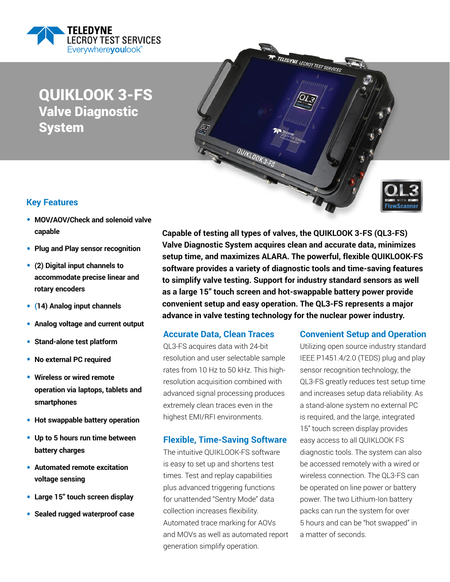

QUIKLOOK 3-FS Valve Diagnostic System



### **Key Features**

- • **MOV/AOV/Check and solenoid valve capable**
- • **Plug and Play sensor recognition**
- • **(2) Digital input channels to accommodate precise linear and rotary encoders**
- • **(14) Analog input channels**
- • **Analog voltage and current output**
- • **Stand-alone test platform**
- • **No external PC required**
- • **Wireless or wired remote operation via laptops, tablets and smartphones**
- • **Hot swappable battery operation**
- • **Up to 5 hours run time between battery charges**
- • **Automated remote excitation voltage sensing**
- • **Large 15" touch screen display**
- • **Sealed rugged waterproof case**

**Capable of testing all types of valves, the QUIKLOOK 3-FS (QL3-FS) Valve Diagnostic System acquires clean and accurate data, minimizes setup time, and maximizes ALARA. The powerful, flexible QUIKLOOK-FS software provides a variety of diagnostic tools and time-saving features to simplify valve testing. Support for industry standard sensors as well as a large 15" touch screen and hot-swappable battery power provide convenient setup and easy operation. The QL3-FS represents a major advance in valve testing technology for the nuclear power industry.**

QUIKLOOK 3-FS

TELEDYNE LECROY TEST SERVICES

#### **Accurate Data, Clean Traces**

QL3-FS acquires data with 24-bit resolution and user selectable sample rates from 10 Hz to 50 kHz. This highresolution acquisition combined with advanced signal processing produces extremely clean traces even in the highest EMI/RFI environments.

#### **Flexible, Time-Saving Software**

The intuitive QUIKLOOK-FS software is easy to set up and shortens test times. Test and replay capabilities plus advanced triggering functions for unattended "Sentry Mode" data collection increases flexibility. Automated trace marking for AOVs and MOVs as well as automated report generation simplify operation.

#### **Convenient Setup and Operation**

Utilizing open source industry standard IEEE P1451.4/2.0 (TEDS) plug and play sensor recognition technology, the QL3-FS greatly reduces test setup time and increases setup data reliability. As a stand-alone system no external PC is required, and the large, integrated 15" touch screen display provides easy access to all QUIKLOOK FS diagnostic tools. The system can also be accessed remotely with a wired or wireless connection. The QL3-FS can be operated on line power or battery power. The two Lithium-Ion battery packs can run the system for over 5 hours and can be "hot swapped" in a matter of seconds.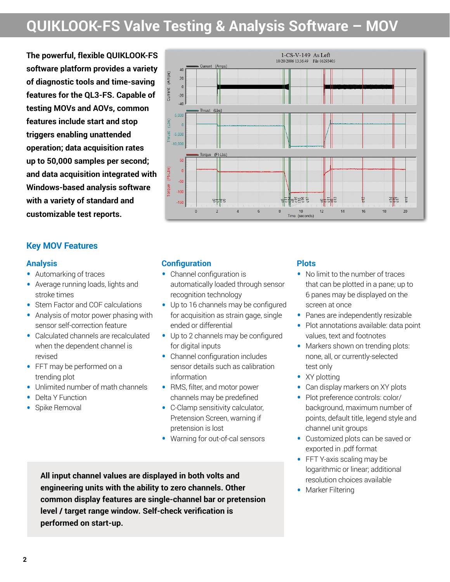## **QUIKLOOK-FS Valve Testing & Analysis Software – MOV**

**The powerful, flexible QUIKLOOK-FS software platform provides a variety of diagnostic tools and time-saving features for the QL3-FS. Capable of testing MOVs and AOVs, common features include start and stop triggers enabling unattended operation; data acquisition rates up to 50,000 samples per second; and data acquisition integrated with Windows-based analysis software with a variety of standard and customizable test reports.**

## **Key MOV Features**

#### **Analysis**

- Automarking of traces
- Average running loads, lights and stroke times
- Stem Factor and COF calculations
- Analysis of motor power phasing with sensor self-correction feature
- Calculated channels are recalculated when the dependent channel is revised
- FFT may be performed on a trending plot
- Unlimited number of math channels
- Delta Y Function
- Spike Removal



### **Configuration**

- Channel configuration is automatically loaded through sensor recognition technology
- Up to 16 channels may be configured for acquisition as strain gage, single ended or differential
- Up to 2 channels may be configured for digital inputs
- Channel configuration includes sensor details such as calibration information
- RMS, filter, and motor power channels may be predefined
- C-Clamp sensitivity calculator, Pretension Screen, warning if pretension is lost
- Warning for out-of-cal sensors

**All input channel values are displayed in both volts and engineering units with the ability to zero channels. Other common display features are single-channel bar or pretension level / target range window. Self-check verification is performed on start-up.**

#### **Plots**

- No limit to the number of traces that can be plotted in a pane; up to 6 panes may be displayed on the screen at once
- Panes are independently resizable
- Plot annotations available: data point values, text and footnotes
- Markers shown on trending plots: none, all, or currently-selected test only
- XY plotting
- Can display markers on XY plots
- Plot preference controls: color/ background, maximum number of points, default title, legend style and channel unit groups
- Customized plots can be saved or exported in .pdf format
- FFT Y-axis scaling may be logarithmic or linear; additional resolution choices available
- Marker Filtering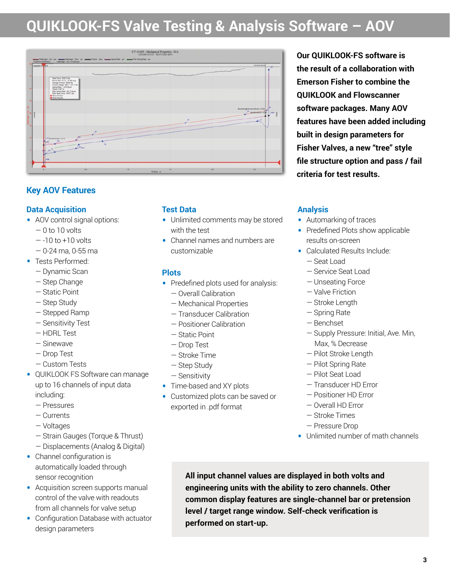## **QUIKLOOK-FS Valve Testing & Analysis Software – AOV**



## **Key AOV Features**

## **Data Acquisition**

- AOV control signal options:
	- $-0$  to 10 volts
	- $-10$  to  $+10$  volts
	- 0-24 ma, 0-55 ma
- Tests Performed:
	- Dynamic Scan
	- Step Change
	- Static Point
	- Step Study
	- Stepped Ramp
	- Sensitivity Test
	- HDRL Test
	- Sinewave
	- Drop Test
	- Custom Tests
- QUIKLOOK FS Software can manage up to 16 channels of input data including:
	- Pressures
	- Currents
	- Voltages
	- Strain Gauges (Torque & Thrust)
	- Displacements (Analog & Digital)
- Channel configuration is automatically loaded through sensor recognition
- Acquisition screen supports manual control of the valve with readouts from all channels for valve setup
- Configuration Database with actuator design parameters

## **Test Data**

- Unlimited comments may be stored with the test
- Channel names and numbers are customizable

### **Plots**

- Predefined plots used for analysis:
	- Overall Calibration
	- Mechanical Properties
	- Transducer Calibration
	- Positioner Calibration
	- Static Point
	- Drop Test
	- Stroke Time
	- Step Study
	- Sensitivity
- Time-based and XY plots
- Customized plots can be saved or exported in .pdf format

**Our QUIKLOOK-FS software is the result of a collaboration with Emerson Fisher to combine the QUIKLOOK and Flowscanner software packages. Many AOV features have been added including built in design parameters for Fisher Valves, a new "tree" style file structure option and pass / fail criteria for test results.**

## **Analysis**

- Automarking of traces
- Predefined Plots show applicable results on-screen
- Calculated Results Include:
	- Seat Load
	- Service Seat Load
	- Unseating Force
	- Valve Friction
	- Stroke Length
	- Spring Rate
	- Benchset
	- Supply Pressure: Initial, Ave. Min, Max, % Decrease
	- Pilot Stroke Length
	- Pilot Spring Rate
	- Pilot Seat Load
	- Transducer HD Error
	- Positioner HD Error
	- Overall HD Error
	- Stroke Times
	- Pressure Drop
- Unlimited number of math channels

**All input channel values are displayed in both volts and engineering units with the ability to zero channels. Other common display features are single-channel bar or pretension level / target range window. Self-check verification is performed on start-up.**